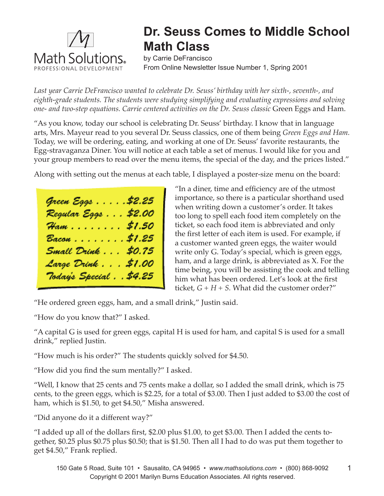

## **Dr. Seuss Comes to Middle School Math Class**

by Carrie DeFrancisco From Online Newsletter Issue Number 1, Spring 2001

*Last year Carrie DeFrancisco wanted to celebrate Dr. Seuss' birthday with her sixth-, seventh-, and eighth-grade students. The students were studying simplifying and evaluating expressions and solving one- and two-step equations. Carrie centered activities on the Dr. Seuss classic* Green Eggs and Ham.

"As you know, today our school is celebrating Dr. Seuss' birthday. I know that in language arts, Mrs. Mayeur read to you several Dr. Seuss classics, one of them being *Green Eggs and Ham.* Today, we will be ordering, eating, and working at one of Dr. Seuss' favorite restaurants, the Egg-stravaganza Diner. You will notice at each table a set of menus. I would like for you and your group members to read over the menu items, the special of the day, and the prices listed."

Along with setting out the menus at each table, I displayed a poster-size menu on the board:

Green Eggs . . . . . \$2.25 Regular Eggs . . . \$2.00  $H_{\alpha m}$  . . . . . . . \$1.50 Bacou........\$1.25 Small Drink ... \$0.75 Large Drink . . . \$1.00 Today's Special . . \$4.25

"In a diner, time and efficiency are of the utmost importance, so there is a particular shorthand used when writing down a customer's order. It takes too long to spell each food item completely on the ticket, so each food item is abbreviated and only the first letter of each item is used. For example, if a customer wanted green eggs, the waiter would write only G. Today's special, which is green eggs, ham, and a large drink, is abbreviated as X. For the time being, you will be assisting the cook and telling him what has been ordered. Let's look at the first ticket,  $G + H + S$ . What did the customer order?"

"He ordered green eggs, ham, and a small drink," Justin said.

"How do you know that?" I asked.

"A capital G is used for green eggs, capital H is used for ham, and capital S is used for a small drink," replied Justin.

"How much is his order?" The students quickly solved for \$4.50.

"How did you find the sum mentally?" I asked.

"Well, I know that 25 cents and 75 cents make a dollar, so I added the small drink, which is 75 cents, to the green eggs, which is \$2.25, for a total of \$3.00. Then I just added to \$3.00 the cost of ham, which is \$1.50, to get \$4.50," Misha answered.

"Did anyone do it a different way?"

"I added up all of the dollars first, \$2.00 plus  $$1.00$ , to get \$3.00. Then I added the cents together, \$0.25 plus \$0.75 plus \$0.50; that is \$1.50. Then all I had to do was put them together to get \$4.50," Frank replied.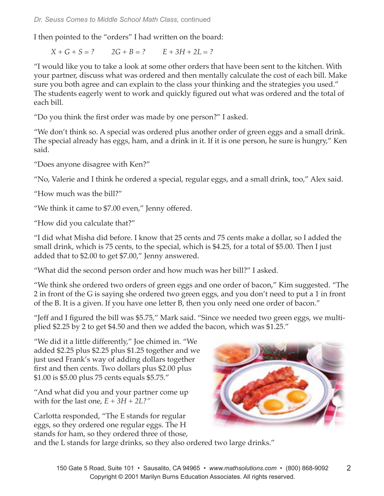I then pointed to the "orders" I had written on the board:

 $X + G + S = ?$  2 $G + B = ?$   $E + 3H + 2L = ?$ 

"I would like you to take a look at some other orders that have been sent to the kitchen. With your partner, discuss what was ordered and then mentally calculate the cost of each bill. Make sure you both agree and can explain to the class your thinking and the strategies you used." The students eagerly went to work and quickly figured out what was ordered and the total of each bill.

"Do you think the first order was made by one person?" I asked.

"We don't think so. A special was ordered plus another order of green eggs and a small drink. The special already has eggs, ham, and a drink in it. If it is one person, he sure is hungry," Ken said.

"Does anyone disagree with Ken?"

"No, Valerie and I think he ordered a special, regular eggs, and a small drink, too," Alex said.

"How much was the bill?"

"We think it came to \$7.00 even," Jenny offered.

"How did you calculate that?"

"I did what Misha did before. I know that 25 cents and 75 cents make a dollar, so I added the small drink, which is 75 cents, to the special, which is \$4.25, for a total of \$5.00. Then I just added that to \$2.00 to get \$7.00," Jenny answered.

"What did the second person order and how much was her bill?" I asked.

"We think she ordered two orders of green eggs and one order of bacon," Kim suggested. "The 2 in front of the G is saying she ordered two green eggs, and you don't need to put a 1 in front of the B. It is a given. If you have one letter B, then you only need one order of bacon."

"Jeff and I figured the bill was \$5.75," Mark said. "Since we needed two green eggs, we multiplied \$2.25 by 2 to get \$4.50 and then we added the bacon, which was \$1.25."

"We did it a little differently," Joe chimed in. "We added \$2.25 plus \$2.25 plus \$1.25 together and we just used Frank's way of adding dollars together first and then cents. Two dollars plus \$2.00 plus \$1.00 is \$5.00 plus 75 cents equals \$5.75."

"And what did you and your partner come up with for the last one,  $E + 3H + 2L$ ?"

Carlotta responded, "The E stands for regular eggs, so they ordered one regular eggs. The H stands for ham, so they ordered three of those,



and the L stands for large drinks, so they also ordered two large drinks."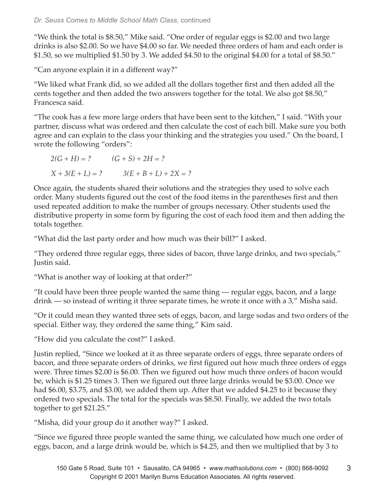## *Dr. Seuss Comes to Middle School Math Class,* continued

"We think the total is \$8.50," Mike said. "One order of regular eggs is \$2.00 and two large drinks is also \$2.00. So we have \$4.00 so far. We needed three orders of ham and each order is \$1.50, so we multiplied \$1.50 by 3. We added \$4.50 to the original \$4.00 for a total of \$8.50."

"Can anyone explain it in a different way?"

"We liked what Frank did, so we added all the dollars together first and then added all the cents together and then added the two answers together for the total. We also got \$8.50," Francesca said.

"The cook has a few more large orders that have been sent to the kitchen," I said. "With your partner, discuss what was ordered and then calculate the cost of each bill. Make sure you both agree and can explain to the class your thinking and the strategies you used." On the board, I wrote the following "orders":

 $2(G + H) = ?$   $(G + S) + 2H = ?$  $X + 3(E + L) = ?$   $3(E + B + L) + 2X = ?$ 

Once again, the students shared their solutions and the strategies they used to solve each order. Many students figured out the cost of the food items in the parentheses first and then used repeated addition to make the number of groups necessary. Other students used the distributive property in some form by figuring the cost of each food item and then adding the totals together.

"What did the last party order and how much was their bill?" I asked.

"They ordered three regular eggs, three sides of bacon, three large drinks, and two specials," Justin said.

"What is another way of looking at that order?"

"It could have been three people wanted the same thing — regular eggs, bacon, and a large drink — so instead of writing it three separate times, he wrote it once with a 3," Misha said.

"Or it could mean they wanted three sets of eggs, bacon, and large sodas and two orders of the special. Either way, they ordered the same thing," Kim said.

"How did you calculate the cost?" I asked.

Justin replied, "Since we looked at it as three separate orders of eggs, three separate orders of bacon, and three separate orders of drinks, we first figured out how much three orders of eggs were. Three times \$2.00 is \$6.00. Then we figured out how much three orders of bacon would be, which is \$1.25 times 3. Then we figured out three large drinks would be \$3.00. Once we had \$6.00, \$3.75, and \$3.00, we added them up. After that we added \$4.25 to it because they ordered two specials. The total for the specials was \$8.50. Finally, we added the two totals together to get \$21.25."

"Misha, did your group do it another way?" I asked.

"Since we figured three people wanted the same thing, we calculated how much one order of eggs, bacon, and a large drink would be, which is \$4.25, and then we multiplied that by 3 to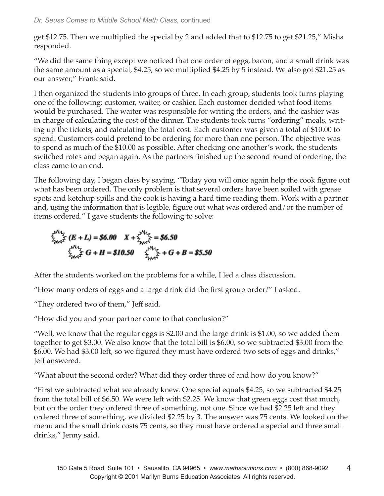get \$12.75. Then we multiplied the special by 2 and added that to \$12.75 to get \$21.25," Misha responded.

"We did the same thing except we noticed that one order of eggs, bacon, and a small drink was the same amount as a special, \$4.25, so we multiplied \$4.25 by 5 instead. We also got \$21.25 as our answer," Frank said.

I then organized the students into groups of three. In each group, students took turns playing one of the following: customer, waiter, or cashier. Each customer decided what food items would be purchased. The waiter was responsible for writing the orders, and the cashier was in charge of calculating the cost of the dinner. The students took turns "ordering" meals, writing up the tickets, and calculating the total cost. Each customer was given a total of \$10.00 to spend. Customers could pretend to be ordering for more than one person. The objective was to spend as much of the \$10.00 as possible. After checking one another's work, the students switched roles and began again. As the partners finished up the second round of ordering, the class came to an end.

The following day, I began class by saying, "Today you will once again help the cook figure out what has been ordered. The only problem is that several orders have been soiled with grease spots and ketchup spills and the cook is having a hard time reading them. Work with a partner and, using the information that is legible, figure out what was ordered and/or the number of items ordered." I gave students the following to solve:

$$
\sum_{\lambda_{\text{NN}}=1}^{\text{NN}_2} (E + L) = $6.00 \quad X + \sum_{\lambda_{\text{NN}}=1}^{\text{NN}_2} = $6.50
$$
\n
$$
\sum_{\lambda_{\text{NN}}=1}^{\text{NN}_2} G + H = $10.50 \quad \sum_{\lambda_{\text{NN}}=1}^{\text{NN}_2} + G + B = $5.50
$$

After the students worked on the problems for a while, I led a class discussion.

"How many orders of eggs and a large drink did the first group order?" I asked.

"They ordered two of them," Jeff said.

"How did you and your partner come to that conclusion?"

"Well, we know that the regular eggs is \$2.00 and the large drink is \$1.00, so we added them together to get \$3.00. We also know that the total bill is \$6.00, so we subtracted \$3.00 from the \$6.00. We had \$3.00 left, so we figured they must have ordered two sets of eggs and drinks," Jeff answered.

"What about the second order? What did they order three of and how do you know?"

"First we subtracted what we already knew. One special equals \$4.25, so we subtracted \$4.25 from the total bill of \$6.50. We were left with \$2.25. We know that green eggs cost that much, but on the order they ordered three of something, not one. Since we had \$2.25 left and they ordered three of something, we divided \$2.25 by 3. The answer was 75 cents. We looked on the menu and the small drink costs 75 cents, so they must have ordered a special and three small drinks," Jenny said.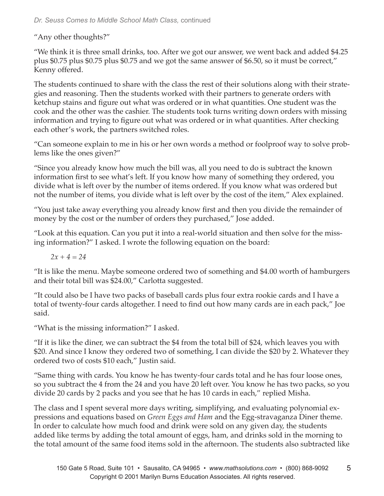## "Any other thoughts?"

"We think it is three small drinks, too. After we got our answer, we went back and added \$4.25 plus \$0.75 plus \$0.75 plus \$0.75 and we got the same answer of \$6.50, so it must be correct," Kenny offered.

The students continued to share with the class the rest of their solutions along with their strategies and reasoning. Then the students worked with their partners to generate orders with ketchup stains and figure out what was ordered or in what quantities. One student was the cook and the other was the cashier. The students took turns writing down orders with missing information and trying to figure out what was ordered or in what quantities. After checking each other's work, the partners switched roles.

"Can someone explain to me in his or her own words a method or foolproof way to solve problems like the ones given?"

"Since you already know how much the bill was, all you need to do is subtract the known information first to see what's left. If you know how many of something they ordered, you divide what is left over by the number of items ordered. If you know what was ordered but not the number of items, you divide what is left over by the cost of the item," Alex explained.

"You just take away everything you already know first and then you divide the remainder of money by the cost or the number of orders they purchased," Jose added.

"Look at this equation. Can you put it into a real-world situation and then solve for the missing information?" I asked. I wrote the following equation on the board:

*2x + 4 = 24*

"It is like the menu. Maybe someone ordered two of something and \$4.00 worth of hamburgers and their total bill was \$24.00," Carlotta suggested.

"It could also be I have two packs of baseball cards plus four extra rookie cards and I have a total of twenty-four cards altogether. I need to find out how many cards are in each pack," Joe said.

"What is the missing information?" I asked.

"If it is like the diner, we can subtract the \$4 from the total bill of \$24, which leaves you with \$20. And since I know they ordered two of something, I can divide the \$20 by 2. Whatever they ordered two of costs \$10 each," Justin said.

"Same thing with cards. You know he has twenty-four cards total and he has four loose ones, so you subtract the 4 from the 24 and you have 20 left over. You know he has two packs, so you divide 20 cards by 2 packs and you see that he has 10 cards in each," replied Misha.

The class and I spent several more days writing, simplifying, and evaluating polynomial expressions and equations based on *Green Eggs and Ham* and the Egg-stravaganza Diner theme. In order to calculate how much food and drink were sold on any given day, the students added like terms by adding the total amount of eggs, ham, and drinks sold in the morning to the total amount of the same food items sold in the afternoon. The students also subtracted like